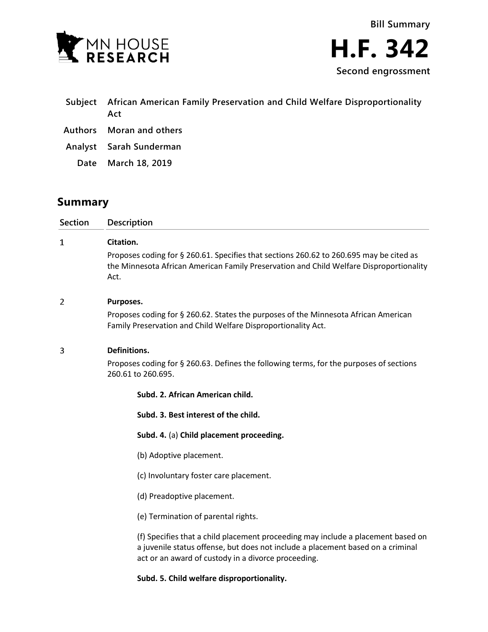

| Subject African American Family Preservation and Child Welfare Disproportionality<br>Act |
|------------------------------------------------------------------------------------------|
| Authors Moran and others                                                                 |

**Analyst Sarah Sunderman**

**Date March 18, 2019**

# **Summary**

**Section Description**  $\mathbf{1}$ **Citation.** Proposes coding for § 260.61. Specifies that sections 260.62 to 260.695 may be cited as the Minnesota African American Family Preservation and Child Welfare Disproportionality Act.  $\overline{2}$ **Purposes.** Proposes coding for § 260.62. States the purposes of the Minnesota African American Family Preservation and Child Welfare Disproportionality Act. 3 **Definitions.** Proposes coding for § 260.63. Defines the following terms, for the purposes of sections 260.61 to 260.695. **Subd. 2. African American child.**

**Subd. 3. Best interest of the child.**

**Subd. 4.** (a) **Child placement proceeding.**

(b) Adoptive placement.

(c) Involuntary foster care placement.

(d) Preadoptive placement.

(e) Termination of parental rights.

(f) Specifies that a child placement proceeding may include a placement based on a juvenile status offense, but does not include a placement based on a criminal act or an award of custody in a divorce proceeding.

**Subd. 5. Child welfare disproportionality.**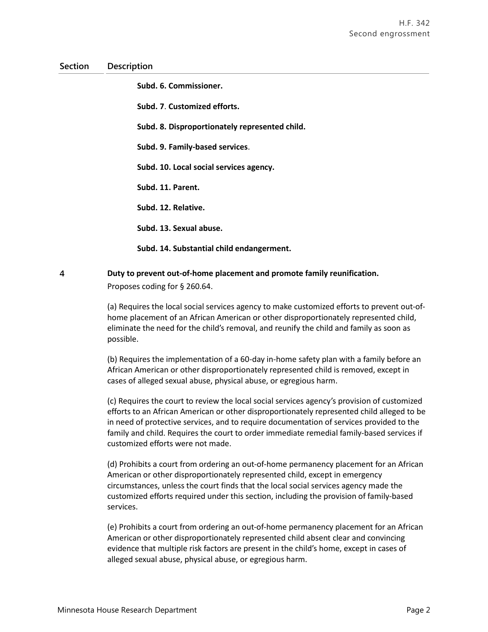**Subd. 6. Commissioner.**

**Subd. 7**. **Customized efforts.**

**Subd. 8. Disproportionately represented child.**

**Subd. 9. Family-based services**.

**Subd. 10. Local social services agency.**

**Subd. 11. Parent.**

**Subd. 12. Relative.**

**Subd. 13. Sexual abuse.**

**Subd. 14. Substantial child endangerment.**

#### $\overline{4}$ **Duty to prevent out-of-home placement and promote family reunification.**

Proposes coding for § 260.64.

(a) Requires the local social services agency to make customized efforts to prevent out-ofhome placement of an African American or other disproportionately represented child, eliminate the need for the child's removal, and reunify the child and family as soon as possible.

(b) Requires the implementation of a 60-day in-home safety plan with a family before an African American or other disproportionately represented child is removed, except in cases of alleged sexual abuse, physical abuse, or egregious harm.

(c) Requires the court to review the local social services agency's provision of customized efforts to an African American or other disproportionately represented child alleged to be in need of protective services, and to require documentation of services provided to the family and child. Requires the court to order immediate remedial family-based services if customized efforts were not made.

(d) Prohibits a court from ordering an out-of-home permanency placement for an African American or other disproportionately represented child, except in emergency circumstances, unless the court finds that the local social services agency made the customized efforts required under this section, including the provision of family-based services.

(e) Prohibits a court from ordering an out-of-home permanency placement for an African American or other disproportionately represented child absent clear and convincing evidence that multiple risk factors are present in the child's home, except in cases of alleged sexual abuse, physical abuse, or egregious harm.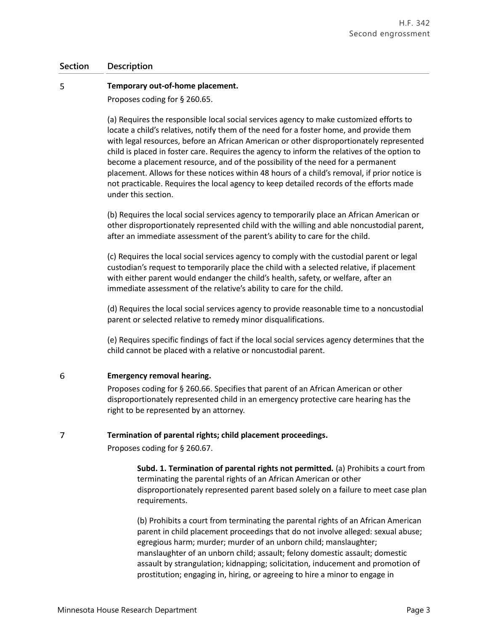#### 5 **Temporary out-of-home placement.**

Proposes coding for § 260.65.

(a) Requires the responsible local social services agency to make customized efforts to locate a child's relatives, notify them of the need for a foster home, and provide them with legal resources, before an African American or other disproportionately represented child is placed in foster care. Requires the agency to inform the relatives of the option to become a placement resource, and of the possibility of the need for a permanent placement. Allows for these notices within 48 hours of a child's removal, if prior notice is not practicable. Requires the local agency to keep detailed records of the efforts made under this section.

(b) Requires the local social services agency to temporarily place an African American or other disproportionately represented child with the willing and able noncustodial parent, after an immediate assessment of the parent's ability to care for the child.

(c) Requires the local social services agency to comply with the custodial parent or legal custodian's request to temporarily place the child with a selected relative, if placement with either parent would endanger the child's health, safety, or welfare, after an immediate assessment of the relative's ability to care for the child.

(d) Requires the local social services agency to provide reasonable time to a noncustodial parent or selected relative to remedy minor disqualifications.

(e) Requires specific findings of fact if the local social services agency determines that the child cannot be placed with a relative or noncustodial parent.

#### 6 **Emergency removal hearing.**

 $\overline{7}$ 

Proposes coding for § 260.66. Specifies that parent of an African American or other disproportionately represented child in an emergency protective care hearing has the right to be represented by an attorney.

## **Termination of parental rights; child placement proceedings.**

Proposes coding for § 260.67.

**Subd. 1. Termination of parental rights not permitted.** (a) Prohibits a court from terminating the parental rights of an African American or other disproportionately represented parent based solely on a failure to meet case plan requirements.

(b) Prohibits a court from terminating the parental rights of an African American parent in child placement proceedings that do not involve alleged: sexual abuse; egregious harm; murder; murder of an unborn child; manslaughter; manslaughter of an unborn child; assault; felony domestic assault; domestic assault by strangulation; kidnapping; solicitation, inducement and promotion of prostitution; engaging in, hiring, or agreeing to hire a minor to engage in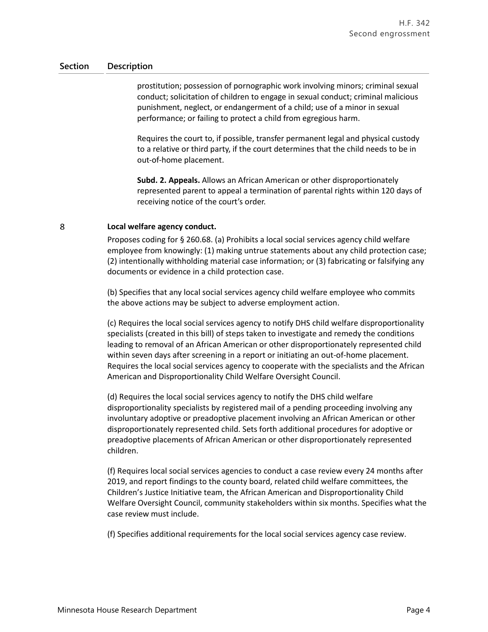prostitution; possession of pornographic work involving minors; criminal sexual conduct; solicitation of children to engage in sexual conduct; criminal malicious punishment, neglect, or endangerment of a child; use of a minor in sexual performance; or failing to protect a child from egregious harm.

Requires the court to, if possible, transfer permanent legal and physical custody to a relative or third party, if the court determines that the child needs to be in out-of-home placement.

**Subd. 2. Appeals.** Allows an African American or other disproportionately represented parent to appeal a termination of parental rights within 120 days of receiving notice of the court's order.

#### 8 **Local welfare agency conduct.**

Proposes coding for § 260.68. (a) Prohibits a local social services agency child welfare employee from knowingly: (1) making untrue statements about any child protection case; (2) intentionally withholding material case information; or (3) fabricating or falsifying any documents or evidence in a child protection case.

(b) Specifies that any local social services agency child welfare employee who commits the above actions may be subject to adverse employment action.

(c) Requires the local social services agency to notify DHS child welfare disproportionality specialists (created in this bill) of steps taken to investigate and remedy the conditions leading to removal of an African American or other disproportionately represented child within seven days after screening in a report or initiating an out-of-home placement. Requires the local social services agency to cooperate with the specialists and the African American and Disproportionality Child Welfare Oversight Council.

(d) Requires the local social services agency to notify the DHS child welfare disproportionality specialists by registered mail of a pending proceeding involving any involuntary adoptive or preadoptive placement involving an African American or other disproportionately represented child. Sets forth additional procedures for adoptive or preadoptive placements of African American or other disproportionately represented children.

(f) Requires local social services agencies to conduct a case review every 24 months after 2019, and report findings to the county board, related child welfare committees, the Children's Justice Initiative team, the African American and Disproportionality Child Welfare Oversight Council, community stakeholders within six months. Specifies what the case review must include.

(f) Specifies additional requirements for the local social services agency case review.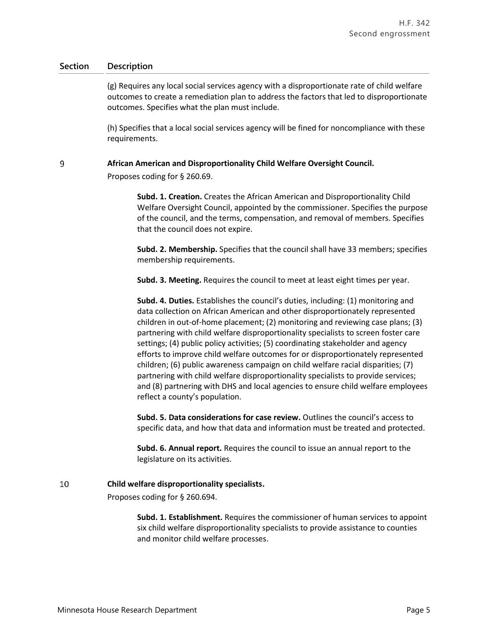(g) Requires any local social services agency with a disproportionate rate of child welfare outcomes to create a remediation plan to address the factors that led to disproportionate outcomes. Specifies what the plan must include.

(h) Specifies that a local social services agency will be fined for noncompliance with these requirements.

#### 9 **African American and Disproportionality Child Welfare Oversight Council.**

Proposes coding for § 260.69.

**Subd. 1. Creation.** Creates the African American and Disproportionality Child Welfare Oversight Council, appointed by the commissioner. Specifies the purpose of the council, and the terms, compensation, and removal of members. Specifies that the council does not expire.

**Subd. 2. Membership.** Specifies that the council shall have 33 members; specifies membership requirements.

**Subd. 3. Meeting.** Requires the council to meet at least eight times per year.

**Subd. 4. Duties.** Establishes the council's duties, including: (1) monitoring and data collection on African American and other disproportionately represented children in out-of-home placement; (2) monitoring and reviewing case plans; (3) partnering with child welfare disproportionality specialists to screen foster care settings; (4) public policy activities; (5) coordinating stakeholder and agency efforts to improve child welfare outcomes for or disproportionately represented children; (6) public awareness campaign on child welfare racial disparities; (7) partnering with child welfare disproportionality specialists to provide services; and (8) partnering with DHS and local agencies to ensure child welfare employees reflect a county's population.

**Subd. 5. Data considerations for case review.** Outlines the council's access to specific data, and how that data and information must be treated and protected.

**Subd. 6. Annual report.** Requires the council to issue an annual report to the legislature on its activities.

#### 10 **Child welfare disproportionality specialists.**

Proposes coding for § 260.694.

**Subd. 1. Establishment.** Requires the commissioner of human services to appoint six child welfare disproportionality specialists to provide assistance to counties and monitor child welfare processes.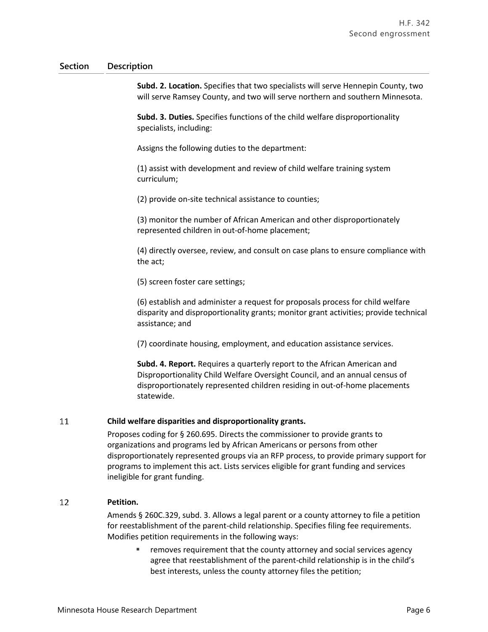**Subd. 2. Location.** Specifies that two specialists will serve Hennepin County, two will serve Ramsey County, and two will serve northern and southern Minnesota.

**Subd. 3. Duties.** Specifies functions of the child welfare disproportionality specialists, including:

Assigns the following duties to the department:

(1) assist with development and review of child welfare training system curriculum;

(2) provide on-site technical assistance to counties;

(3) monitor the number of African American and other disproportionately represented children in out-of-home placement;

(4) directly oversee, review, and consult on case plans to ensure compliance with the act;

(5) screen foster care settings;

(6) establish and administer a request for proposals process for child welfare disparity and disproportionality grants; monitor grant activities; provide technical assistance; and

(7) coordinate housing, employment, and education assistance services.

**Subd. 4. Report.** Requires a quarterly report to the African American and Disproportionality Child Welfare Oversight Council, and an annual census of disproportionately represented children residing in out-of-home placements statewide.

#### 11 **Child welfare disparities and disproportionality grants.**

Proposes coding for § 260.695. Directs the commissioner to provide grants to organizations and programs led by African Americans or persons from other disproportionately represented groups via an RFP process, to provide primary support for programs to implement this act. Lists services eligible for grant funding and services ineligible for grant funding.

#### 12 **Petition.**

Amends § 260C.329, subd. 3. Allows a legal parent or a county attorney to file a petition for reestablishment of the parent-child relationship. Specifies filing fee requirements. Modifies petition requirements in the following ways:

 removes requirement that the county attorney and social services agency agree that reestablishment of the parent-child relationship is in the child's best interests, unless the county attorney files the petition;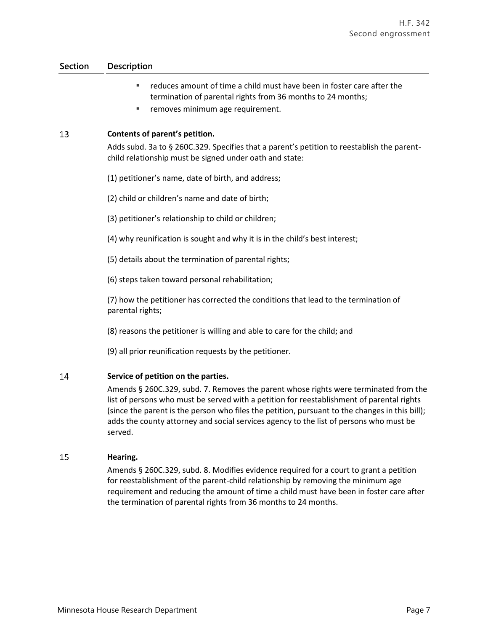- reduces amount of time a child must have been in foster care after the termination of parental rights from 36 months to 24 months;
- removes minimum age requirement.

#### 13 **Contents of parent's petition.**

Adds subd. 3a to § 260C.329. Specifies that a parent's petition to reestablish the parentchild relationship must be signed under oath and state:

- (1) petitioner's name, date of birth, and address;
- (2) child or children's name and date of birth;
- (3) petitioner's relationship to child or children;
- (4) why reunification is sought and why it is in the child's best interest;
- (5) details about the termination of parental rights;
- (6) steps taken toward personal rehabilitation;

(7) how the petitioner has corrected the conditions that lead to the termination of parental rights;

- (8) reasons the petitioner is willing and able to care for the child; and
- (9) all prior reunification requests by the petitioner.

#### 14 **Service of petition on the parties.**

Amends § 260C.329, subd. 7. Removes the parent whose rights were terminated from the list of persons who must be served with a petition for reestablishment of parental rights (since the parent is the person who files the petition, pursuant to the changes in this bill); adds the county attorney and social services agency to the list of persons who must be served.

#### 15 **Hearing.**

Amends § 260C.329, subd. 8. Modifies evidence required for a court to grant a petition for reestablishment of the parent-child relationship by removing the minimum age requirement and reducing the amount of time a child must have been in foster care after the termination of parental rights from 36 months to 24 months.